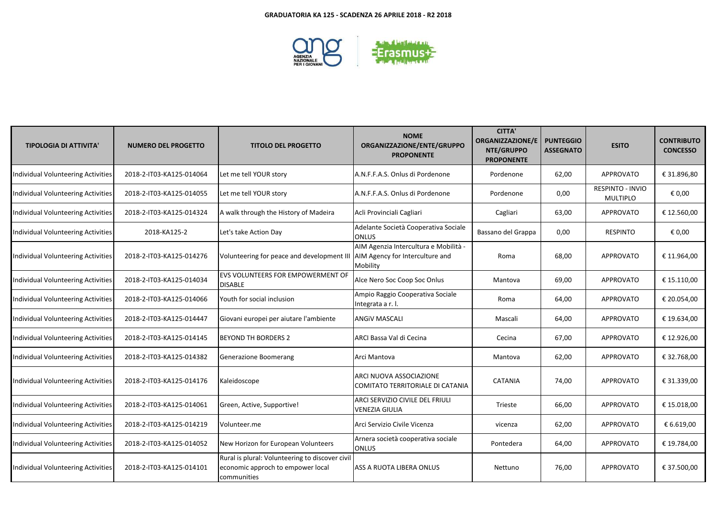

| <b>TIPOLOGIA DI ATTIVITA'</b>             | <b>NUMERO DEL PROGETTO</b> | <b>TITOLO DEL PROGETTO</b>                                                                          | <b>NOME</b><br>ORGANIZZAZIONE/ENTE/GRUPPO<br><b>PROPONENTE</b>                       | <b>CITTA'</b><br><b>ORGANIZZAZIONE/E</b><br>NTE/GRUPPO<br><b>PROPONENTE</b> | <b>PUNTEGGIO</b><br><b>ASSEGNATO</b> | <b>ESITO</b>                        | <b>CONTRIBUTO</b><br><b>CONCESSO</b> |
|-------------------------------------------|----------------------------|-----------------------------------------------------------------------------------------------------|--------------------------------------------------------------------------------------|-----------------------------------------------------------------------------|--------------------------------------|-------------------------------------|--------------------------------------|
| Individual Volunteering Activities        | 2018-2-IT03-KA125-014064   | Let me tell YOUR story                                                                              | A.N.F.F.A.S. Onlus di Pordenone                                                      | Pordenone                                                                   | 62,00                                | <b>APPROVATO</b>                    | € 31.896,80                          |
| Individual Volunteering Activities        | 2018-2-IT03-KA125-014055   | Let me tell YOUR story                                                                              | A.N.F.F.A.S. Onlus di Pordenone                                                      | Pordenone                                                                   | 0,00                                 | RESPINTO - INVIO<br><b>MULTIPLO</b> | € 0,00                               |
| Individual Volunteering Activities        | 2018-2-IT03-KA125-014324   | A walk through the History of Madeira                                                               | Acli Provinciali Cagliari                                                            | Cagliari                                                                    | 63,00                                | APPROVATO                           | € 12.560,00                          |
| Individual Volunteering Activities        | 2018-KA125-2               | Let's take Action Day                                                                               | Adelante Società Cooperativa Sociale<br><b>ONLUS</b>                                 | Bassano del Grappa                                                          | 0,00                                 | <b>RESPINTO</b>                     | € 0,00                               |
| <b>Individual Volunteering Activities</b> | 2018-2-IT03-KA125-014276   | Volunteering for peace and development II                                                           | AIM Agenzia Intercultura e Mobilità -<br>AIM Agency for Interculture and<br>Mobility | Roma                                                                        | 68,00                                | APPROVATO                           | € 11.964,00                          |
| Individual Volunteering Activities        | 2018-2-IT03-KA125-014034   | <b>EVS VOLUNTEERS FOR EMPOWERMENT OF</b><br><b>DISABLE</b>                                          | Alce Nero Soc Coop Soc Onlus                                                         | Mantova                                                                     | 69,00                                | APPROVATO                           | € 15.110,00                          |
| <b>Individual Volunteering Activities</b> | 2018-2-IT03-KA125-014066   | Youth for social inclusion                                                                          | Ampio Raggio Cooperativa Sociale<br>Integrata a r.l.                                 | Roma                                                                        | 64,00                                | APPROVATO                           | € 20.054,00                          |
| Individual Volunteering Activities        | 2018-2-IT03-KA125-014447   | Giovani europei per aiutare l'ambiente                                                              | <b>ANGIV MASCALI</b>                                                                 | Mascali                                                                     | 64,00                                | APPROVATO                           | € 19.634,00                          |
| Individual Volunteering Activities        | 2018-2-IT03-KA125-014145   | <b>BEYOND TH BORDERS 2</b>                                                                          | ARCI Bassa Val di Cecina                                                             | Cecina                                                                      | 67,00                                | APPROVATO                           | € 12.926,00                          |
| <b>Individual Volunteering Activities</b> | 2018-2-IT03-KA125-014382   | Generazione Boomerang                                                                               | Arci Mantova                                                                         | Mantova                                                                     | 62,00                                | APPROVATO                           | € 32.768,00                          |
| Individual Volunteering Activities        | 2018-2-IT03-KA125-014176   | Kaleidoscope                                                                                        | ARCI NUOVA ASSOCIAZIONE<br>COMITATO TERRITORIALE DI CATANIA                          | CATANIA                                                                     | 74,00                                | APPROVATO                           | € 31.339,00                          |
| <b>Individual Volunteering Activities</b> | 2018-2-IT03-KA125-014061   | Green, Active, Supportive!                                                                          | ARCI SERVIZIO CIVILE DEL FRIULI<br><b>VENEZIA GIULIA</b>                             | Trieste                                                                     | 66,00                                | APPROVATO                           | € 15.018,00                          |
| Individual Volunteering Activities        | 2018-2-IT03-KA125-014219   | Volunteer.me                                                                                        | Arci Servizio Civile Vicenza                                                         | vicenza                                                                     | 62,00                                | APPROVATO                           | € 6.619,00                           |
| Individual Volunteering Activities        | 2018-2-IT03-KA125-014052   | New Horizon for European Volunteers                                                                 | Arnera società cooperativa sociale<br><b>ONLUS</b>                                   | Pontedera                                                                   | 64,00                                | APPROVATO                           | € 19.784,00                          |
| <b>Individual Volunteering Activities</b> | 2018-2-IT03-KA125-014101   | Rural is plural: Volunteering to discover civil<br>economic approch to empower local<br>communities | ASS A RUOTA LIBERA ONLUS                                                             | Nettuno                                                                     | 76,00                                | <b>APPROVATO</b>                    | € 37.500,00                          |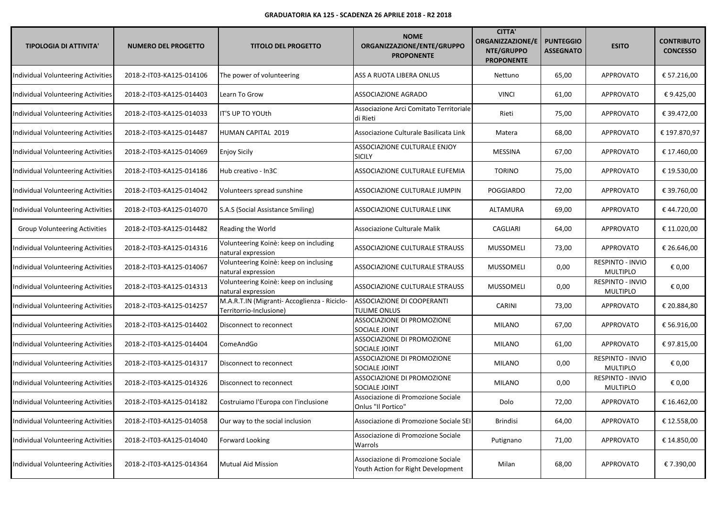| <b>TIPOLOGIA DI ATTIVITA'</b>             | <b>NUMERO DEL PROGETTO</b> | <b>TITOLO DEL PROGETTO</b>                                              | <b>NOME</b><br>ORGANIZZAZIONE/ENTE/GRUPPO<br><b>PROPONENTE</b>           | <b>CITTA'</b><br><b>ORGANIZZAZIONE/E</b><br>NTE/GRUPPO<br><b>PROPONENTE</b> | <b>PUNTEGGIO</b><br><b>ASSEGNATO</b> | <b>ESITO</b>                               | <b>CONTRIBUTO</b><br><b>CONCESSO</b> |
|-------------------------------------------|----------------------------|-------------------------------------------------------------------------|--------------------------------------------------------------------------|-----------------------------------------------------------------------------|--------------------------------------|--------------------------------------------|--------------------------------------|
| Individual Volunteering Activities        | 2018-2-IT03-KA125-014106   | The power of volunteering                                               | ASS A RUOTA LIBERA ONLUS                                                 | Nettuno                                                                     | 65,00                                | APPROVATO                                  | € 57.216,00                          |
| Individual Volunteering Activities        | 2018-2-IT03-KA125-014403   | Learn To Grow                                                           | ASSOCIAZIONE AGRADO                                                      | <b>VINCI</b>                                                                | 61,00                                | APPROVATO                                  | €9.425,00                            |
| Individual Volunteering Activities        | 2018-2-IT03-KA125-014033   | IT'S UP TO YOUth                                                        | Associazione Arci Comitato Territoriale<br>di Rieti                      | Rieti                                                                       | 75,00                                | APPROVATO                                  | € 39.472,00                          |
| Individual Volunteering Activities        | 2018-2-IT03-KA125-014487   | HUMAN CAPITAL 2019                                                      | Associazione Culturale Basilicata Link                                   | Matera                                                                      | 68,00                                | <b>APPROVATO</b>                           | € 197.870,97                         |
| Individual Volunteering Activities        | 2018-2-IT03-KA125-014069   | <b>Enjoy Sicily</b>                                                     | ASSOCIAZIONE CULTURALE ENJOY<br><b>SICILY</b>                            | <b>MESSINA</b>                                                              | 67,00                                | <b>APPROVATO</b>                           | € 17.460,00                          |
| Individual Volunteering Activities        | 2018-2-IT03-KA125-014186   | Hub creativo - In3C                                                     | ASSOCIAZIONE CULTURALE EUFEMIA                                           | <b>TORINO</b>                                                               | 75,00                                | APPROVATO                                  | € 19.530,00                          |
| Individual Volunteering Activities        | 2018-2-IT03-KA125-014042   | Volunteers spread sunshine                                              | ASSOCIAZIONE CULTURALE JUMPIN                                            | POGGIARDO                                                                   | 72,00                                | APPROVATO                                  | € 39.760,00                          |
| Individual Volunteering Activities        | 2018-2-IT03-KA125-014070   | S.A.S (Social Assistance Smiling)                                       | ASSOCIAZIONE CULTURALE LINK                                              | <b>ALTAMURA</b>                                                             | 69,00                                | APPROVATO                                  | €44.720,00                           |
| <b>Group Volunteering Activities</b>      | 2018-2-IT03-KA125-014482   | Reading the World                                                       | Associazione Culturale Malik                                             | CAGLIARI                                                                    | 64,00                                | APPROVATO                                  | € 11.020,00                          |
| Individual Volunteering Activities        | 2018-2-IT03-KA125-014316   | Volunteering Koinè: keep on including<br>natural expression             | ASSOCIAZIONE CULTURALE STRAUSS                                           | <b>MUSSOMELI</b>                                                            | 73,00                                | <b>APPROVATO</b>                           | € 26.646,00                          |
| Individual Volunteering Activities        | 2018-2-IT03-KA125-014067   | Volunteering Koinè: keep on inclusing<br>natural expression             | ASSOCIAZIONE CULTURALE STRAUSS                                           | <b>MUSSOMELI</b>                                                            | 0,00                                 | RESPINTO - INVIO<br>MULTIPLO               | € 0,00                               |
| Individual Volunteering Activities        | 2018-2-IT03-KA125-014313   | Volunteering Koinè: keep on inclusing<br>natural expression             | ASSOCIAZIONE CULTURALE STRAUSS                                           | <b>MUSSOMELI</b>                                                            | 0,00                                 | RESPINTO - INVIO<br>MULTIPLO               | € 0,00                               |
| Individual Volunteering Activities        | 2018-2-IT03-KA125-014257   | M.A.R.T.IN (Migranti- Accoglienza - Riciclo-<br>Territorrio-Inclusione) | ASSOCIAZIONE DI COOPERANTI<br><b>TULIME ONLUS</b>                        | CARINI                                                                      | 73,00                                | <b>APPROVATO</b>                           | € 20.884,80                          |
| <b>Individual Volunteering Activities</b> | 2018-2-IT03-KA125-014402   | Disconnect to reconnect                                                 | ASSOCIAZIONE DI PROMOZIONE<br>SOCIALE JOINT                              | MILANO                                                                      | 67,00                                | <b>APPROVATO</b>                           | € 56.916,00                          |
| Individual Volunteering Activities        | 2018-2-IT03-KA125-014404   | ComeAndGo                                                               | ASSOCIAZIONE DI PROMOZIONE<br>SOCIALE JOINT                              | MILANO                                                                      | 61,00                                | <b>APPROVATO</b>                           | €97.815,00                           |
| <b>Individual Volunteering Activities</b> | 2018-2-IT03-KA125-014317   | Disconnect to reconnect                                                 | ASSOCIAZIONE DI PROMOZIONE<br>SOCIALE JOINT                              | <b>MILANO</b>                                                               | 0,00                                 | <b>RESPINTO - INVIO</b><br><b>MULTIPLO</b> | € 0,00                               |
| Individual Volunteering Activities        | 2018-2-IT03-KA125-014326   | Disconnect to reconnect                                                 | ASSOCIAZIONE DI PROMOZIONE<br>SOCIALE JOINT                              | <b>MILANO</b>                                                               | 0,00                                 | RESPINTO - INVIO<br>MULTIPLO               | € 0,00                               |
| Individual Volunteering Activities        | 2018-2-IT03-KA125-014182   | Costruiamo l'Europa con l'inclusione                                    | Associazione di Promozione Sociale<br>Onlus "Il Portico"                 | Dolo                                                                        | 72,00                                | APPROVATO                                  | € 16.462,00                          |
| Individual Volunteering Activities        | 2018-2-IT03-KA125-014058   | Our way to the social inclusion                                         | Associazione di Promozione Sociale SEI                                   | <b>Brindisi</b>                                                             | 64,00                                | <b>APPROVATO</b>                           | € 12.558,00                          |
| Individual Volunteering Activities        | 2018-2-IT03-KA125-014040   | Forward Looking                                                         | Associazione di Promozione Sociale<br>Warrols                            | Putignano                                                                   | 71,00                                | APPROVATO                                  | € 14.850,00                          |
| Individual Volunteering Activities        | 2018-2-IT03-KA125-014364   | <b>Mutual Aid Mission</b>                                               | Associazione di Promozione Sociale<br>Youth Action for Right Development | Milan                                                                       | 68,00                                | APPROVATO                                  | € 7.390,00                           |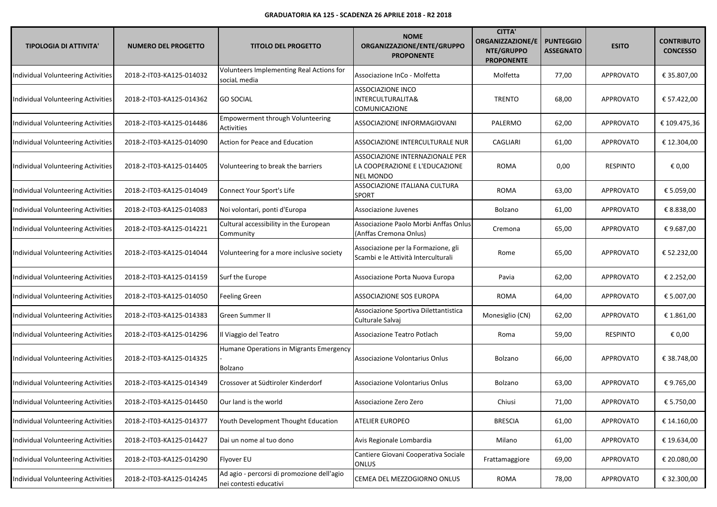| <b>TIPOLOGIA DI ATTIVITA'</b>             | <b>NUMERO DEL PROGETTO</b> | <b>TITOLO DEL PROGETTO</b>                                           | <b>NOME</b><br>ORGANIZZAZIONE/ENTE/GRUPPO<br><b>PROPONENTE</b>                        | <b>CITTA'</b><br><b>ORGANIZZAZIONE/E</b><br>NTE/GRUPPO<br><b>PROPONENTE</b> | <b>PUNTEGGIO</b><br><b>ASSEGNATO</b> | <b>ESITO</b>     | <b>CONTRIBUTO</b><br><b>CONCESSO</b> |
|-------------------------------------------|----------------------------|----------------------------------------------------------------------|---------------------------------------------------------------------------------------|-----------------------------------------------------------------------------|--------------------------------------|------------------|--------------------------------------|
| Individual Volunteering Activities        | 2018-2-IT03-KA125-014032   | Volunteers Implementing Real Actions for<br>sociaL media             | Associazione InCo - Molfetta                                                          | Molfetta                                                                    | 77,00                                | <b>APPROVATO</b> | € 35.807,00                          |
| Individual Volunteering Activities        | 2018-2-IT03-KA125-014362   | <b>GO SOCIAL</b>                                                     | <b>ASSOCIAZIONE INCO</b><br>INTERCULTURALITA&<br>COMUNICAZIONE                        | <b>TRENTO</b>                                                               | 68,00                                | <b>APPROVATO</b> | € 57.422,00                          |
| Individual Volunteering Activities        | 2018-2-IT03-KA125-014486   | Empowerment through Volunteering<br>Activities                       | ASSOCIAZIONE INFORMAGIOVANI                                                           | PALERMO                                                                     | 62,00                                | <b>APPROVATO</b> | € 109.475,36                         |
| Individual Volunteering Activities        | 2018-2-IT03-KA125-014090   | Action for Peace and Education                                       | ASSOCIAZIONE INTERCULTURALE NUR                                                       | CAGLIARI                                                                    | 61,00                                | <b>APPROVATO</b> | € 12.304,00                          |
| Individual Volunteering Activities        | 2018-2-IT03-KA125-014405   | Volunteering to break the barriers                                   | ASSOCIAZIONE INTERNAZIONALE PER<br>LA COOPERAZIONE E L'EDUCAZIONE<br><b>NEL MONDO</b> | <b>ROMA</b>                                                                 | 0,00                                 | RESPINTO         | € 0,00                               |
| Individual Volunteering Activities        | 2018-2-IT03-KA125-014049   | Connect Your Sport's Life                                            | ASSOCIAZIONE ITALIANA CULTURA<br><b>SPORT</b>                                         | <b>ROMA</b>                                                                 | 63,00                                | APPROVATO        | € 5.059,00                           |
| Individual Volunteering Activities        | 2018-2-IT03-KA125-014083   | Noi volontari, ponti d'Europa                                        | Associazione Juvenes                                                                  | Bolzano                                                                     | 61,00                                | <b>APPROVATO</b> | € 8.838,00                           |
| Individual Volunteering Activities        | 2018-2-IT03-KA125-014221   | Cultural accessibility in the European<br>Community                  | Associazione Paolo Morbi Anffas Onlus<br>(Anffas Cremona Onlus)                       | Cremona                                                                     | 65,00                                | <b>APPROVATO</b> | €9.687,00                            |
| Individual Volunteering Activities        | 2018-2-IT03-KA125-014044   | Volunteering for a more inclusive society                            | Associazione per la Formazione, gli<br>Scambi e le Attività Interculturali            | Rome                                                                        | 65,00                                | <b>APPROVATO</b> | € 52.232,00                          |
| Individual Volunteering Activities        | 2018-2-IT03-KA125-014159   | Surf the Europe                                                      | Associazione Porta Nuova Europa                                                       | Pavia                                                                       | 62,00                                | APPROVATO        | € 2.252,00                           |
| Individual Volunteering Activities        | 2018-2-IT03-KA125-014050   | <b>Feeling Green</b>                                                 | ASSOCIAZIONE SOS EUROPA                                                               | <b>ROMA</b>                                                                 | 64,00                                | <b>APPROVATO</b> | € 5.007,00                           |
| Individual Volunteering Activities        | 2018-2-IT03-KA125-014383   | Green Summer II                                                      | Associazione Sportiva Dilettantistica<br>Culturale Salvaj                             | Monesiglio (CN)                                                             | 62,00                                | APPROVATO        | € 1.861,00                           |
| Individual Volunteering Activities        | 2018-2-IT03-KA125-014296   | Il Viaggio del Teatro                                                | Associazione Teatro Potlach                                                           | Roma                                                                        | 59,00                                | <b>RESPINTO</b>  | € 0,00                               |
| Individual Volunteering Activities        | 2018-2-IT03-KA125-014325   | Humane Operations in Migrants Emergency<br>Bolzano                   | Associazione Volontarius Onlus                                                        | Bolzano                                                                     | 66,00                                | <b>APPROVATO</b> | € 38.748,00                          |
| Individual Volunteering Activities        | 2018-2-IT03-KA125-014349   | Crossover at Südtiroler Kinderdorf                                   | Associazione Volontarius Onlus                                                        | Bolzano                                                                     | 63,00                                | <b>APPROVATO</b> | €9.765,00                            |
| Individual Volunteering Activities        | 2018-2-IT03-KA125-014450   | Our land is the world                                                | Associazione Zero Zero                                                                | Chiusi                                                                      | 71,00                                | <b>APPROVATO</b> | € 5.750,00                           |
| <b>Individual Volunteering Activities</b> | 2018-2-IT03-KA125-014377   | Youth Development Thought Education                                  | <b>ATELIER EUROPEO</b>                                                                | <b>BRESCIA</b>                                                              | 61,00                                | APPROVATO        | € 14.160,00                          |
| Individual Volunteering Activities        | 2018-2-IT03-KA125-014427   | Dai un nome al tuo dono                                              | Avis Regionale Lombardia                                                              | Milano                                                                      | 61,00                                | APPROVATO        | € 19.634,00                          |
| <b>Individual Volunteering Activities</b> | 2018-2-IT03-KA125-014290   | Flyover EU                                                           | Cantiere Giovani Cooperativa Sociale<br><b>ONLUS</b>                                  | Frattamaggiore                                                              | 69,00                                | APPROVATO        | € 20.080,00                          |
| <b>Individual Volunteering Activities</b> | 2018-2-IT03-KA125-014245   | Ad agio - percorsi di promozione dell'agio<br>nei contesti educativi | CEMEA DEL MEZZOGIORNO ONLUS                                                           | ROMA                                                                        | 78,00                                | APPROVATO        | € 32.300,00                          |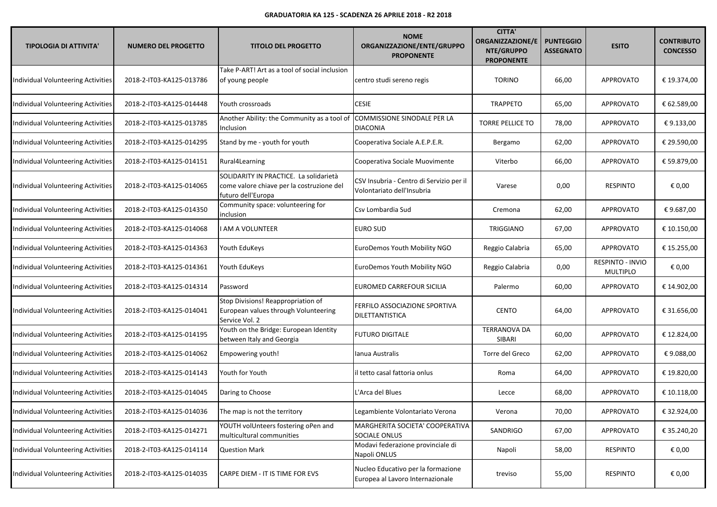| <b>TIPOLOGIA DI ATTIVITA'</b>             | <b>NUMERO DEL PROGETTO</b> | <b>TITOLO DEL PROGETTO</b>                                                                                | <b>NOME</b><br>ORGANIZZAZIONE/ENTE/GRUPPO<br><b>PROPONENTE</b>         | <b>CITTA'</b><br><b>ORGANIZZAZIONE/E</b><br>NTE/GRUPPO<br><b>PROPONENTE</b> | <b>PUNTEGGIO</b><br><b>ASSEGNATO</b> | <b>ESITO</b>                 | <b>CONTRIBUTO</b><br><b>CONCESSO</b> |
|-------------------------------------------|----------------------------|-----------------------------------------------------------------------------------------------------------|------------------------------------------------------------------------|-----------------------------------------------------------------------------|--------------------------------------|------------------------------|--------------------------------------|
| Individual Volunteering Activities        | 2018-2-IT03-KA125-013786   | Take P-ART! Art as a tool of social inclusion<br>of young people                                          | centro studi sereno regis                                              | <b>TORINO</b>                                                               | 66,00                                | <b>APPROVATO</b>             | € 19.374,00                          |
| Individual Volunteering Activities        | 2018-2-IT03-KA125-014448   | Youth crossroads                                                                                          | <b>CESIE</b>                                                           | <b>TRAPPETO</b>                                                             | 65,00                                | <b>APPROVATO</b>             | € 62.589,00                          |
| Individual Volunteering Activities        | 2018-2-IT03-KA125-013785   | Another Ability: the Community as a tool of<br>Inclusion                                                  | COMMISSIONE SINODALE PER LA<br><b>DIACONIA</b>                         | <b>TORRE PELLICE TO</b>                                                     | 78,00                                | <b>APPROVATO</b>             | € 9.133,00                           |
| Individual Volunteering Activities        | 2018-2-IT03-KA125-014295   | Stand by me - youth for youth                                                                             | Cooperativa Sociale A.E.P.E.R.                                         | Bergamo                                                                     | 62,00                                | <b>APPROVATO</b>             | € 29.590,00                          |
| Individual Volunteering Activities        | 2018-2-IT03-KA125-014151   | Rural4Learning                                                                                            | Cooperativa Sociale Muovimente                                         | Viterbo                                                                     | 66,00                                | <b>APPROVATO</b>             | € 59.879,00                          |
| Individual Volunteering Activities        | 2018-2-IT03-KA125-014065   | SOLIDARITY IN PRACTICE. La solidarietà<br>come valore chiave per la costruzione del<br>futuro dell'Europa | CSV Insubria - Centro di Servizio per il<br>Volontariato dell'Insubria | Varese                                                                      | 0,00                                 | <b>RESPINTO</b>              | € 0,00                               |
| Individual Volunteering Activities        | 2018-2-IT03-KA125-014350   | Community space: volunteering for<br>inclusion                                                            | Csv Lombardia Sud                                                      | Cremona                                                                     | 62,00                                | <b>APPROVATO</b>             | €9.687,00                            |
| Individual Volunteering Activities        | 2018-2-IT03-KA125-014068   | <b>I AM A VOLUNTEER</b>                                                                                   | <b>EURO SUD</b>                                                        | <b>TRIGGIANO</b>                                                            | 67,00                                | APPROVATO                    | € 10.150,00                          |
| Individual Volunteering Activities        | 2018-2-IT03-KA125-014363   | Youth EduKeys                                                                                             | EuroDemos Youth Mobility NGO                                           | Reggio Calabria                                                             | 65,00                                | <b>APPROVATO</b>             | € 15.255,00                          |
| Individual Volunteering Activities        | 2018-2-IT03-KA125-014361   | Youth EduKeys                                                                                             | EuroDemos Youth Mobility NGO                                           | Reggio Calabria                                                             | 0,00                                 | RESPINTO - INVIO<br>MULTIPLO | € 0,00                               |
| Individual Volunteering Activities        | 2018-2-IT03-KA125-014314   | Password                                                                                                  | EUROMED CARREFOUR SICILIA                                              | Palermo                                                                     | 60,00                                | <b>APPROVATO</b>             | € 14.902,00                          |
| Individual Volunteering Activities        | 2018-2-IT03-KA125-014041   | Stop Divisions! Reappropriation of<br>European values through Volunteering<br>Service Vol. 2              | FERFILO ASSOCIAZIONE SPORTIVA<br><b>DILETTANTISTICA</b>                | <b>CENTO</b>                                                                | 64,00                                | <b>APPROVATO</b>             | € 31.656,00                          |
| Individual Volunteering Activities        | 2018-2-IT03-KA125-014195   | Youth on the Bridge: European Identity<br>between Italy and Georgia                                       | <b>FUTURO DIGITALE</b>                                                 | <b>TERRANOVA DA</b><br>SIBARI                                               | 60,00                                | <b>APPROVATO</b>             | € 12.824,00                          |
| Individual Volunteering Activities        | 2018-2-IT03-KA125-014062   | Empowering youth!                                                                                         | Ianua Australis                                                        | Torre del Greco                                                             | 62,00                                | APPROVATO                    | €9.088,00                            |
| Individual Volunteering Activities        | 2018-2-IT03-KA125-014143   | Youth for Youth                                                                                           | il tetto casal fattoria onlus                                          | Roma                                                                        | 64,00                                | <b>APPROVATO</b>             | € 19.820,00                          |
| Individual Volunteering Activities        | 2018-2-IT03-KA125-014045   | Daring to Choose                                                                                          | L'Arca del Blues                                                       | Lecce                                                                       | 68,00                                | <b>APPROVATO</b>             | € 10.118,00                          |
| Individual Volunteering Activities        | 2018-2-IT03-KA125-014036   | The map is not the territory                                                                              | Legambiente Volontariato Verona                                        | Verona                                                                      | 70,00                                | APPROVATO                    | € 32.924,00                          |
| <b>Individual Volunteering Activities</b> | 2018-2-IT03-KA125-014271   | YOUTH volUnteers fostering oPen and<br>multicultural communities                                          | MARGHERITA SOCIETA' COOPERATIVA<br>SOCIALE ONLUS                       | SANDRIGO                                                                    | 67,00                                | APPROVATO                    | € 35.240,20                          |
| Individual Volunteering Activities        | 2018-2-IT03-KA125-014114   | Question Mark                                                                                             | Modavi federazione provinciale di<br>Napoli ONLUS                      | Napoli                                                                      | 58,00                                | <b>RESPINTO</b>              | € 0,00                               |
| Individual Volunteering Activities        | 2018-2-IT03-KA125-014035   | CARPE DIEM - IT IS TIME FOR EVS                                                                           | Nucleo Educativo per la formazione<br>Europea al Lavoro Internazionale | treviso                                                                     | 55,00                                | <b>RESPINTO</b>              | € 0,00                               |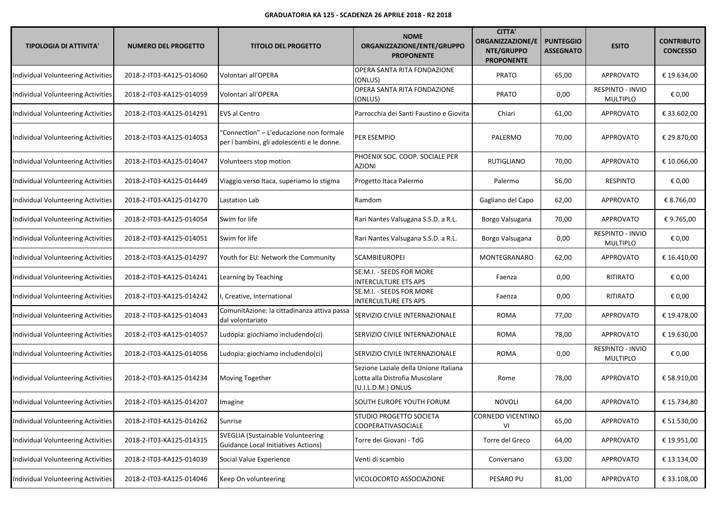| <b>TIPOLOGIA DI ATTIVITA'</b>      | <b>NUMERO DEL PROGETTO</b> | <b>TITOLO DEL PROGETTO</b>                                                            | <b>NOME</b><br>ORGANIZZAZIONE/ENTE/GRUPPO<br><b>PROPONENTE</b>                                | <b>CITTA'</b><br><b>ORGANIZZAZIONE/E</b><br>NTE/GRUPPO<br><b>PROPONENTE</b> | <b>PUNTEGGIO</b><br><b>ASSEGNATO</b> | <b>ESITO</b>                        | <b>CONTRIBUTO</b><br><b>CONCESSO</b> |
|------------------------------------|----------------------------|---------------------------------------------------------------------------------------|-----------------------------------------------------------------------------------------------|-----------------------------------------------------------------------------|--------------------------------------|-------------------------------------|--------------------------------------|
| Individual Volunteering Activities | 2018-2-IT03-KA125-014060   | Volontari all'OPERA                                                                   | OPERA SANTA RITA FONDAZIONE<br>(ONLUS)                                                        | <b>PRATO</b>                                                                | 65,00                                | <b>APPROVATO</b>                    | € 19.634,00                          |
| Individual Volunteering Activities | 2018-2-IT03-KA125-014059   | Volontari all'OPERA                                                                   | OPERA SANTA RITA FONDAZIONE<br>(ONLUS)                                                        | <b>PRATO</b>                                                                | 0,00                                 | RESPINTO - INVIO<br><b>MULTIPLO</b> | € 0,00                               |
| Individual Volunteering Activities | 2018-2-IT03-KA125-014291   | EVS al Centro                                                                         | Parrocchia dei Santi Faustino e Giovita                                                       | Chiari                                                                      | 61,00                                | APPROVATO                           | € 33.602,00                          |
| Individual Volunteering Activities | 2018-2-IT03-KA125-014053   | "Connection" - L'educazione non formale<br>per i bambini, gli adolescenti e le donne. | PER ESEMPIO                                                                                   | PALERMO                                                                     | 70,00                                | <b>APPROVATO</b>                    | € 29.870,00                          |
| Individual Volunteering Activities | 2018-2-IT03-KA125-014047   | Volunteers stop motion                                                                | PHOENIX SOC. COOP. SOCIALE PER<br><b>AZIONI</b>                                               | RUTIGLIANO                                                                  | 70,00                                | <b>APPROVATO</b>                    | € 10.066,00                          |
| Individual Volunteering Activities | 2018-2-IT03-KA125-014449   | Viaggio verso Itaca, superiamo lo stigma                                              | Progetto Itaca Palermo                                                                        | Palermo                                                                     | 56,00                                | <b>RESPINTO</b>                     | € 0,00                               |
| Individual Volunteering Activities | 2018-2-IT03-KA125-014270   | Lastation Lab                                                                         | Ramdom                                                                                        | Gagliano del Capo                                                           | 62,00                                | <b>APPROVATO</b>                    | € 8.766,00                           |
| Individual Volunteering Activities | 2018-2-IT03-KA125-014054   | Swim for life                                                                         | Rari Nantes Valsugana S.S.D. a R.L.                                                           | Borgo Valsugana                                                             | 70,00                                | <b>APPROVATO</b>                    | €9.765,00                            |
| Individual Volunteering Activities | 2018-2-IT03-KA125-014051   | Swim for life                                                                         | Rari Nantes Valsugana S.S.D. a R.L.                                                           | Borgo Valsugana                                                             | 0,00                                 | RESPINTO - INVIO<br><b>MULTIPLO</b> | € 0,00                               |
| Individual Volunteering Activities | 2018-2-IT03-KA125-014297   | Youth for EU: Network the Community                                                   | <b>SCAMBIEUROPEI</b>                                                                          | MONTEGRANARO                                                                | 62,00                                | APPROVATO                           | € 16.410,00                          |
| Individual Volunteering Activities | 2018-2-IT03-KA125-014241   | Learning by Teaching                                                                  | SE.M.I. - SEEDS FOR MORE<br><b>INTERCULTURE ETS APS</b>                                       | Faenza                                                                      | 0,00                                 | <b>RITIRATO</b>                     | € 0,00                               |
| Individual Volunteering Activities | 2018-2-IT03-KA125-014242   | , Creative, International                                                             | SE.M.I. - SEEDS FOR MORE<br><b>INTERCULTURE ETS APS</b>                                       | Faenza                                                                      | 0,00                                 | <b>RITIRATO</b>                     | € 0,00                               |
| Individual Volunteering Activities | 2018-2-IT03-KA125-014043   | ComunitAzione: la cittadinanza attiva passa<br>dal volontariato                       | SERVIZIO CIVILE INTERNAZIONALE                                                                | <b>ROMA</b>                                                                 | 77,00                                | APPROVATO                           | € 19.478,00                          |
| Individual Volunteering Activities | 2018-2-IT03-KA125-014057   | Ludopìa: giochiamo includendo(ci)                                                     | SERVIZIO CIVILE INTERNAZIONALE                                                                | <b>ROMA</b>                                                                 | 78,00                                | <b>APPROVATO</b>                    | € 19.630,00                          |
| Individual Volunteering Activities | 2018-2-IT03-KA125-014056   | Ludopìa: giochiamo includendo(ci)                                                     | SERVIZIO CIVILE INTERNAZIONALE                                                                | <b>ROMA</b>                                                                 | 0,00                                 | RESPINTO - INVIO<br><b>MULTIPLO</b> | € 0,00                               |
| Individual Volunteering Activities | 2018-2-IT03-KA125-014234   | Moving Together                                                                       | Sezione Laziale della Unione Italiana<br>Lotta alla Distrofia Muscolare<br>(U.I.L.D.M.) ONLUS | Rome                                                                        | 78,00                                | <b>APPROVATO</b>                    | € 58.910,00                          |
| Individual Volunteering Activities | 2018-2-IT03-KA125-014207   | Imagine                                                                               | <b>SOUTH EUROPE YOUTH FORUM</b>                                                               | <b>NOVOLI</b>                                                               | 64,00                                | APPROVATO                           | € 15.734,80                          |
| Individual Volunteering Activities | 2018-2-IT03-KA125-014262   | Sunrise                                                                               | <b>STUDIO PROGETTO SOCIETA</b><br><b>COOPERATIVASOCIALE</b>                                   | CORNEDO VICENTINO<br>VI                                                     | 65,00                                | <b>APPROVATO</b>                    | € 51.530,00                          |
| Individual Volunteering Activities | 2018-2-IT03-KA125-014315   | SVEGLIA (Sustainable Volunteering<br><b>Guidance Local Initiatives Actions)</b>       | Torre dei Giovani - TdG                                                                       | Torre del Greco                                                             | 64,00                                | APPROVATO                           | € 19.951,00                          |
| Individual Volunteering Activities | 2018-2-IT03-KA125-014039   | Social Value Experience                                                               | Venti di scambio                                                                              | Conversano                                                                  | 63,00                                | <b>APPROVATO</b>                    | € 13.134,00                          |
| Individual Volunteering Activities | 2018-2-IT03-KA125-014046   | Keep On volunteering                                                                  | VICOLOCORTO ASSOCIAZIONE                                                                      | PESARO PU                                                                   | 81,00                                | <b>APPROVATO</b>                    | € 33.108,00                          |